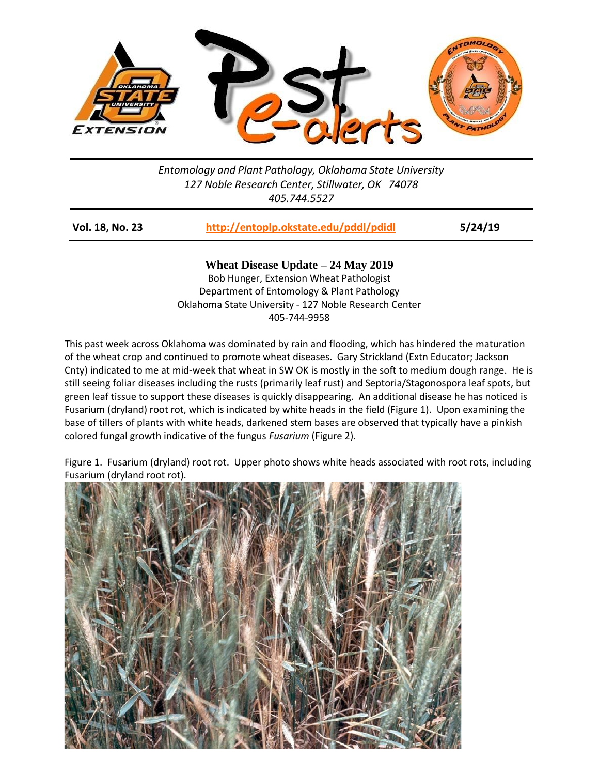

*Entomology and Plant Pathology, Oklahoma State University 127 Noble Research Center, Stillwater, OK 74078 405.744.5527*

| Vol. 18, No. 23 | http://entoplp.okstate.edu/pddl/pdidl | 5/24/19 |
|-----------------|---------------------------------------|---------|
|-----------------|---------------------------------------|---------|

**Wheat Disease Update – 24 May 2019** Bob Hunger, Extension Wheat Pathologist Department of Entomology & Plant Pathology Oklahoma State University - 127 Noble Research Center 405-744-9958

This past week across Oklahoma was dominated by rain and flooding, which has hindered the maturation of the wheat crop and continued to promote wheat diseases. Gary Strickland (Extn Educator; Jackson Cnty) indicated to me at mid-week that wheat in SW OK is mostly in the soft to medium dough range. He is still seeing foliar diseases including the rusts (primarily leaf rust) and Septoria/Stagonospora leaf spots, but green leaf tissue to support these diseases is quickly disappearing. An additional disease he has noticed is Fusarium (dryland) root rot, which is indicated by white heads in the field (Figure 1). Upon examining the base of tillers of plants with white heads, darkened stem bases are observed that typically have a pinkish colored fungal growth indicative of the fungus *Fusarium* (Figure 2).

Figure 1. Fusarium (dryland) root rot. Upper photo shows white heads associated with root rots, including Fusarium (dryland root rot).